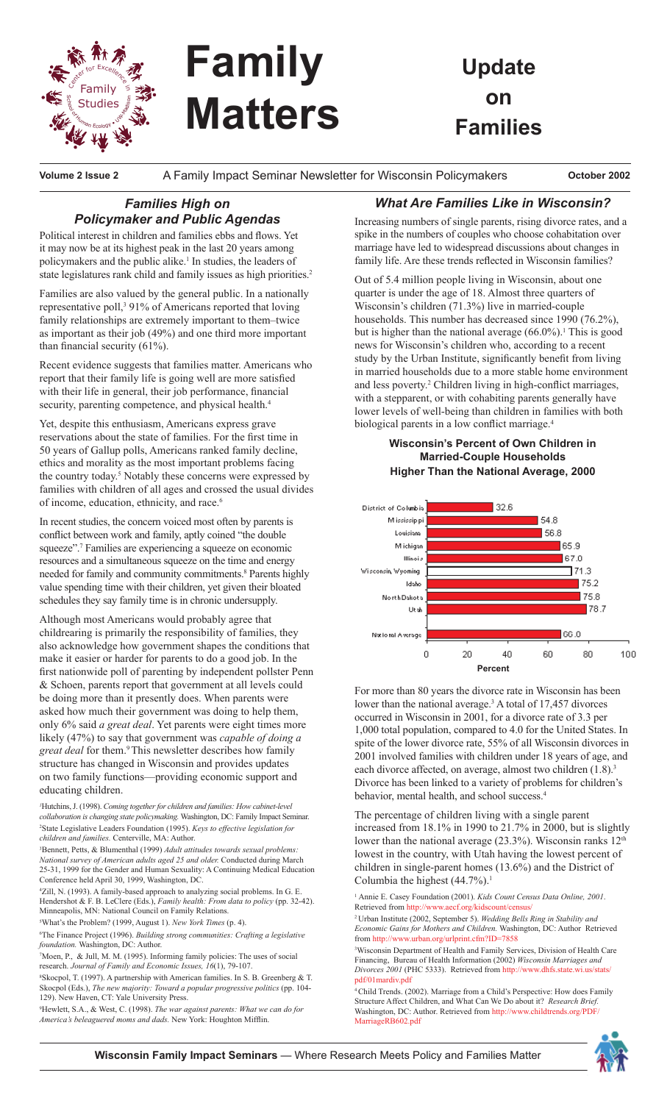

# **Family Matters**

**Update on Families**

**Volume 2 Issue 2** A Family Impact Seminar Newsletter for Wisconsin Policymakers **October 2002**

# *Families High on Policymaker and Public Agendas*

Political interest in children and families ebbs and flows. Yet it may now be at its highest peak in the last 20 years among policymakers and the public alike.<sup>1</sup> In studies, the leaders of state legislatures rank child and family issues as high priorities.<sup>2</sup>

Families are also valued by the general public. In a nationally representative poll,<sup>3</sup> 91% of Americans reported that loving family relationships are extremely important to them–twice as important as their job (49%) and one third more important than financial security (61%).

Recent evidence suggests that families matter. Americans who report that their family life is going well are more satisfied with their life in general, their job performance, financial security, parenting competence, and physical health.<sup>4</sup>

Yet, despite this enthusiasm, Americans express grave reservations about the state of families. For the first time in 50 years of Gallup polls, Americans ranked family decline, ethics and morality as the most important problems facing the country today.<sup>5</sup> Notably these concerns were expressed by families with children of all ages and crossed the usual divides of income, education, ethnicity, and race.<sup>6</sup>

In recent studies, the concern voiced most often by parents is conflict between work and family, aptly coined "the double squeeze".<sup>7</sup> Families are experiencing a squeeze on economic resources and a simultaneous squeeze on the time and energy needed for family and community commitments.<sup>8</sup> Parents highly value spending time with their children, yet given their bloated schedules they say family time is in chronic undersupply.

Although most Americans would probably agree that childrearing is primarily the responsibility of families, they also acknowledge how government shapes the conditions that make it easier or harder for parents to do a good job. In the first nationwide poll of parenting by independent pollster Penn & Schoen, parents report that government at all levels could be doing more than it presently does. When parents were asked how much their government was doing to help them, only 6% said *a great deal*. Yet parents were eight times more likely (47%) to say that government was *capable of doing a great deal* for them.<sup>9</sup>This newsletter describes how family structure has changed in Wisconsin and provides updates on two family functions—providing economic support and educating children.

*1* Hutchins, J. (1998). *Coming together for children and families: How cabinet-level collaboration is changing state policymaking.* Washington, DC: Family Impact Seminar. 2 State Legislative Leaders Foundation (1995). *Keys to effective legislation for children and families.* Centerville, MA: Author.

3 Bennett, Petts, & Blumenthal (1999) *Adult attitudes towards sexual problems: National survey of American adults aged 25 and older.* Conducted during March 25-31, 1999 for the Gender and Human Sexuality: A Continuing Medical Education Conference held April 30, 1999, Washington, DC.

4 Zill, N. (1993). A family-based approach to analyzing social problems. In G. E. Hendershot & F. B. LeClere (Eds.), *Family health: From data to policy* (pp. 32-42). Minneapolis, MN: National Council on Family Relations.

5 What's the Problem? (1999, August 1). *New York Times* (p. 4).

6 The Finance Project (1996). *Building strong communities: Crafting a legislative foundation.* Washington, DC: Author.

7 Moen, P., & Jull, M. M. (1995). Informing family policies: The uses of social research. *Journal of Family and Economic Issues, 16*(1), 79-107.

8 Skocpol, T. (1997). A partnership with American families. In S. B. Greenberg & T. Skocpol (Eds.), *The new majority: Toward a popular progressive politics* (pp. 104- 129). New Haven, CT: Yale University Press.

9 Hewlett, S.A., & West, C. (1998). *The war against parents: What we can do for America's beleaguered moms and dads.* New York: Houghton Mifflin.

## *What Are Families Like in Wisconsin?*

Increasing numbers of single parents, rising divorce rates, and a spike in the numbers of couples who choose cohabitation over marriage have led to widespread discussions about changes in family life. Are these trends reflected in Wisconsin families?

Out of 5.4 million people living in Wisconsin, about one quarter is under the age of 18. Almost three quarters of Wisconsin's children (71.3%) live in married-couple households. This number has decreased since 1990 (76.2%), but is higher than the national average  $(66.0\%)$ <sup>1</sup>. This is good news for Wisconsin's children who, according to a recent study by the Urban Institute, significantly benefit from living in married households due to a more stable home environment and less poverty.<sup>2</sup> Children living in high-conflict marriages, with a stepparent, or with cohabiting parents generally have lower levels of well-being than children in families with both biological parents in a low conflict marriage.<sup>4</sup>

### **Wisconsin's Percent of Own Children in Married-Couple Households Higher Than the National Average, 2000**



For more than 80 years the divorce rate in Wisconsin has been lower than the national average.<sup>3</sup> A total of 17,457 divorces occurred in Wisconsin in 2001, for a divorce rate of 3.3 per 1,000 total population, compared to 4.0 for the United States. In spite of the lower divorce rate, 55% of all Wisconsin divorces in 2001 involved families with children under 18 years of age, and each divorce affected, on average, almost two children  $(1.8)$ .<sup>3</sup> Divorce has been linked to a variety of problems for children's behavior, mental health, and school success.<sup>4</sup>

The percentage of children living with a single parent increased from 18.1% in 1990 to 21.7% in 2000, but is slightly lower than the national average  $(23.3\%)$ . Wisconsin ranks  $12<sup>th</sup>$ lowest in the country, with Utah having the lowest percent of children in single-parent homes (13.6%) and the District of Columbia the highest  $(44.7\%)$ <sup>1</sup>

1 Annie E. Casey Foundation (2001). *Kids Count Census Data Online, 2001*. Retrieved from http://www.aecf.org/kidscount/census/

2 Urban Institute (2002, September 5). *Wedding Bells Ring in Stability and Economic Gains for Mothers and Children.* Washington, DC: Author Retrieved from http://www.urban.org/urlprint.cfm?ID=7858

3 Wisconsin Department of Health and Family Services, Division of Health Care Financing, Bureau of Health Information (2002) *Wisconsin Marriages and Divorces 2001* (PHC 5333). Retrieved from http://www.dhfs.state.wi.us/stats/ pdf/01mardiv.pdf

4 Child Trends. (2002). Marriage from a Child's Perspective: How does Family Structure Affect Children, and What Can We Do about it? *Research Brief.* Washington, DC: Author. Retrieved from http://www.childtrends.org/PDF/ MarriageRB602.pdf